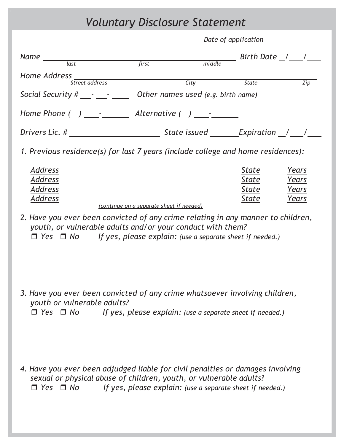## *Voluntary Disclosure Statement*

| $Name \underline{\qquad \qquad }$                                                                                                                                                                                                |                                          | middle                                                    | ____ Birth Date _/ ___ / ____    |                                  |
|----------------------------------------------------------------------------------------------------------------------------------------------------------------------------------------------------------------------------------|------------------------------------------|-----------------------------------------------------------|----------------------------------|----------------------------------|
|                                                                                                                                                                                                                                  |                                          |                                                           |                                  |                                  |
| Home Address<br>Street address                                                                                                                                                                                                   |                                          | $\frac{City}{t}$                                          | State                            | Zip                              |
| Social Security $\#$ $\_\cdot$ $\_\cdot$ $\_\cdot$ Other names used (e.g. birth name)                                                                                                                                            |                                          |                                                           |                                  |                                  |
|                                                                                                                                                                                                                                  |                                          |                                                           |                                  |                                  |
|                                                                                                                                                                                                                                  |                                          |                                                           |                                  |                                  |
| 1. Previous residence(s) for last 7 years (include college and home residences):                                                                                                                                                 |                                          |                                                           |                                  |                                  |
| Address<br><b>Address</b><br><u>Address</u><br><u>Address</u>                                                                                                                                                                    | (continue on a separate sheet if needed) |                                                           | State<br>State<br>State<br>State | Years<br>Years<br>Years<br>Years |
| 2. Have you ever been convicted of any crime relating in any manner to children,<br>youth, or vulnerable adults and/or your conduct with them?<br>$\Box$ Yes $\Box$ No If yes, please explain: (use a separate sheet if needed.) |                                          |                                                           |                                  |                                  |
| 3. Have you ever been convicted of any crime whatsoever involving children,<br>youth or vulnerable adults?<br>$\Box$ Yes $\Box$ No                                                                                               |                                          | If yes, please explain: (use a separate sheet if needed.) |                                  |                                  |
| 4. Have you ever been adjudged liable for civil penalties or damages involving<br>sexual or physical abuse of children, youth, or vulnerable adults?<br>$\Box$ Yes $\Box$ No                                                     |                                          | If yes, please explain: (use a separate sheet if needed.) |                                  |                                  |